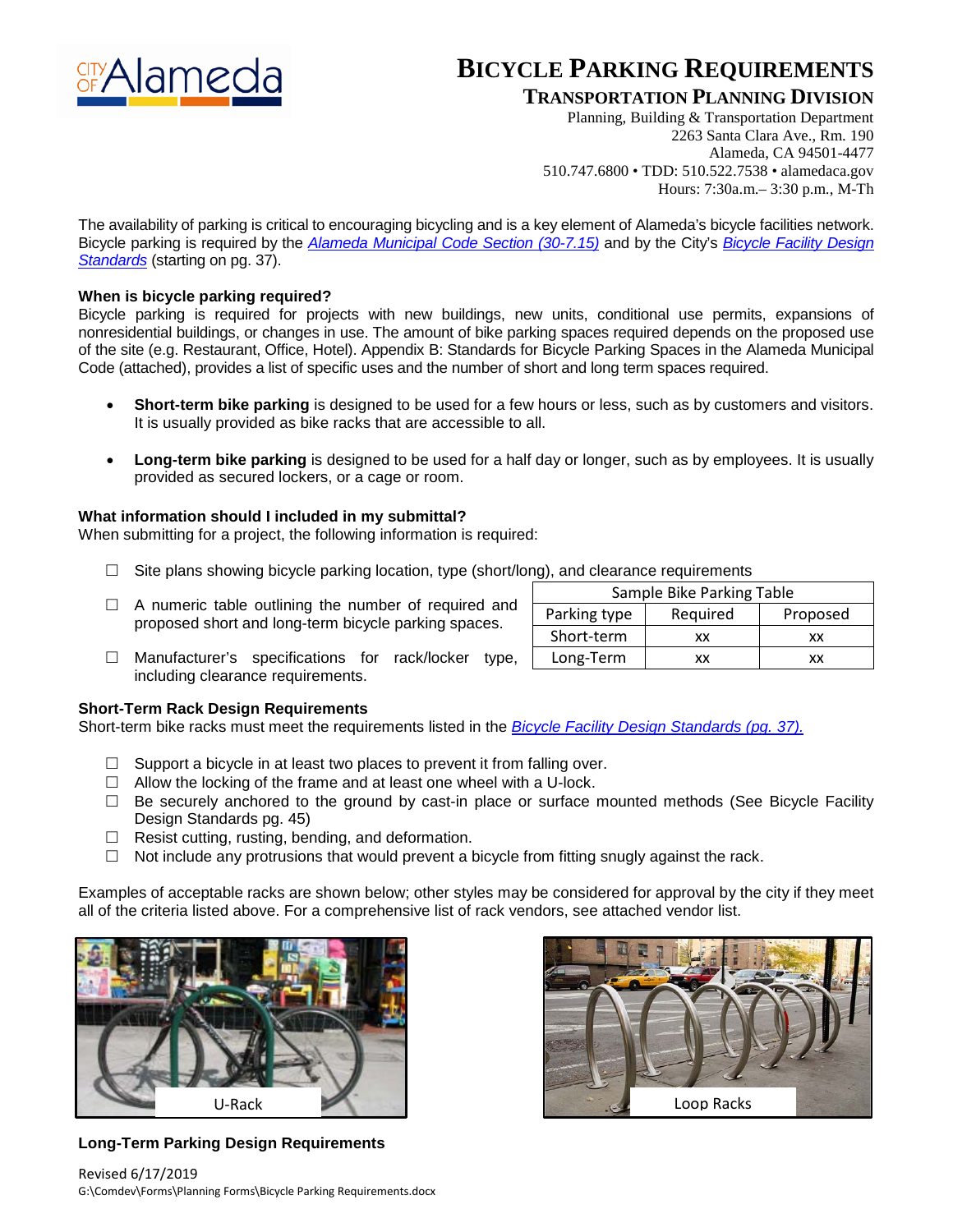

## **BICYCLE PARKING REQUIREMENTS**

### **TRANSPORTATION PLANNING DIVISION**

Planning, Building & Transportation Department 2263 Santa Clara Ave., Rm. 190 Alameda, CA 94501-4477 510.747.6800 • TDD: 510.522.7538 • alamedaca.gov Hours: 7:30a.m.– 3:30 p.m., M-Th

The availability of parking is critical to encouraging bicycling and is a key element of Alameda's bicycle facilities network. Bicycle parking is required by the *Alameda [Municipal](https://library.municode.com/ca/alameda/codes/code_of_ordinances?nodeId=CHXXXDERE_ARTIZODIRE_30-7OREPALOSPRE_30-7.15BIMOPEFA) Code Section (30-7.15)* and by the City's *[Bicycle](https://www.alamedaca.gov/files/sharedassets/public/alameda/transportation/gailtrainingfiles/bikestandardsfinalcompiled.pdf) Facility Design [Standards](https://www.alamedaca.gov/files/sharedassets/public/alameda/transportation/gailtrainingfiles/bikestandardsfinalcompiled.pdf)* (starting on pg. 37).

#### **When is bicycle parking required?**

Bicycle parking is required for projects with new buildings, new units, conditional use permits, expansions of nonresidential buildings, or changes in use. The amount of bike parking spaces required depends on the proposed use of the site (e.g. Restaurant, Office, Hotel). Appendix B: Standards for Bicycle Parking Spaces in the Alameda Municipal Code (attached), provides a list of specific uses and the number of short and long term spaces required.

- **Short-term bike parking** is designed to be used for a few hours or less, such as by customers and visitors. It is usually provided as bike racks that are accessible to all.
- **Long-term bike parking** is designed to be used for a half day or longer, such as by employees. It is usually provided as secured lockers, or a cage or room.

#### **What information should I included in my submittal?**

When submitting for a project, the following information is required:

- $\Box$  Site plans showing bicycle parking location, type (short/long), and clearance requirements
- $\Box$  A numeric table outlining the number of required and proposed short and long-term bicycle parking spaces.
- □ Manufacturer's specifications for rack/locker type, including clearance requirements.

#### **Short-Term Rack Design Requirements**

Short-term bike racks must meet the requirements listed in the *[Bicycle Facility Design Standards \(pg. 37\).](https://www.alamedaca.gov/files/sharedassets/public/alameda/transportation/gailtrainingfiles/bikestandardsfinalcompiled.pdf)*

- $\Box$  Support a bicycle in at least two places to prevent it from falling over.
- $\Box$  Allow the locking of the frame and at least one wheel with a U-lock.
- $\Box$  Be securely anchored to the ground by cast-in place or surface mounted methods (See Bicycle Facility Design Standards pg. 45)
- $\Box$  Resist cutting, rusting, bending, and deformation.
- $\Box$  Not include any protrusions that would prevent a bicycle from fitting snugly against the rack.

Examples of acceptable racks are shown below; other styles may be considered for approval by the city if they meet all of the criteria listed above. For a comprehensive list of rack vendors, see attached vendor list.



**Long-Term Parking Design Requirements** 



| Sample Bike Parking Table |          |  |  |  |  |  |
|---------------------------|----------|--|--|--|--|--|
| Required                  | Proposed |  |  |  |  |  |
| xх                        | xх       |  |  |  |  |  |
| xх                        | xх       |  |  |  |  |  |
|                           |          |  |  |  |  |  |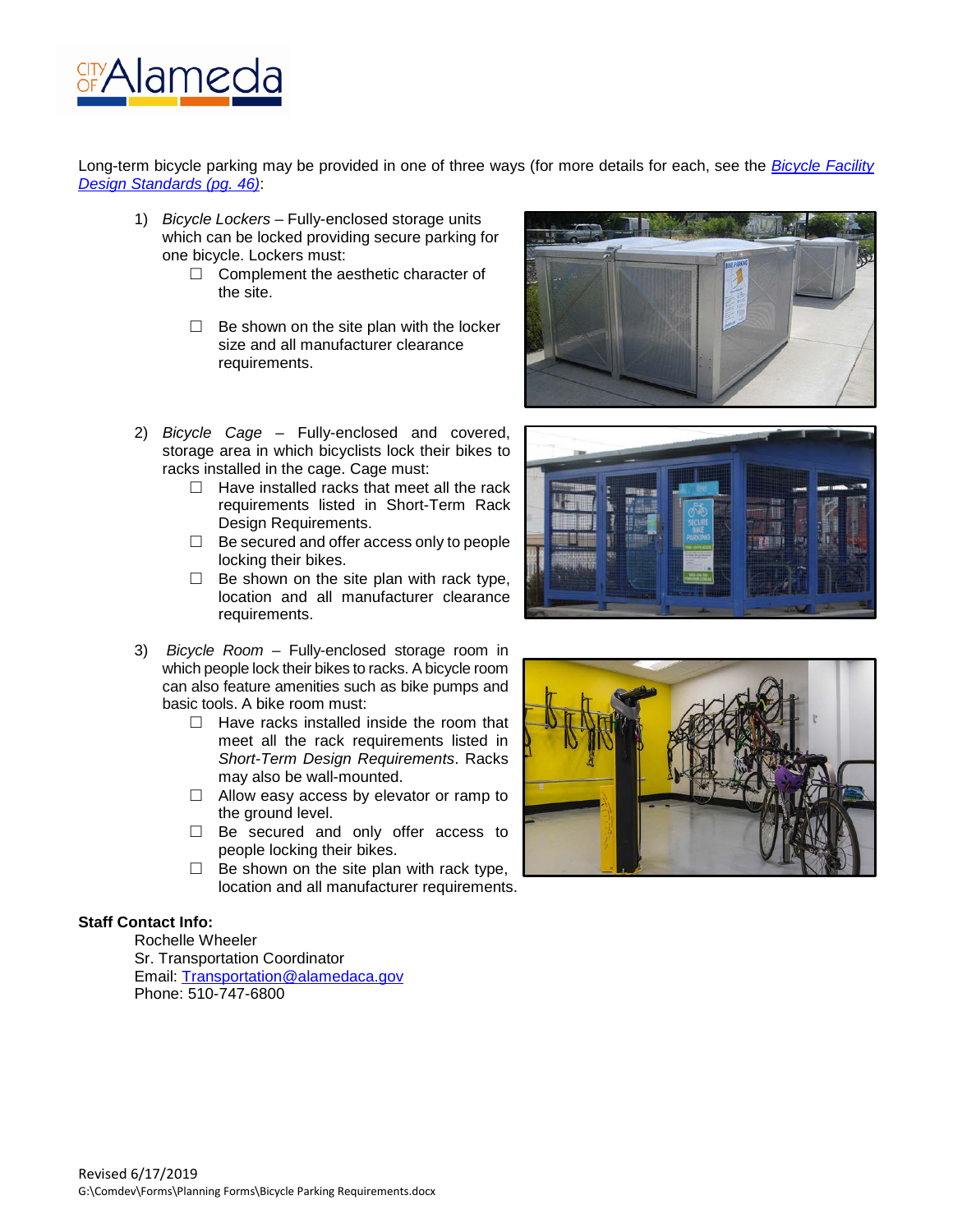

Long-term bicycle parking may be provided in one of three ways (for more details for each, see the *[Bicycle Facility](https://www.alamedaca.gov/files/sharedassets/public/alameda/transportation/gailtrainingfiles/bikestandardsfinalcompiled.pdf)  [Design Standards \(pg. 46\)](https://www.alamedaca.gov/files/sharedassets/public/alameda/transportation/gailtrainingfiles/bikestandardsfinalcompiled.pdf)*:

- 1) *Bicycle Lockers* Fully-enclosed storage units which can be locked providing secure parking for one bicycle. Lockers must:
	- □ Complement the aesthetic character of the site.
	- $\Box$  Be shown on the site plan with the locker size and all manufacturer clearance requirements.
- 2) *Bicycle Cage* Fully-enclosed and covered, storage area in which bicyclists lock their bikes to racks installed in the cage. Cage must:
	- $\Box$  Have installed racks that meet all the rack requirements listed in Short-Term Rack Design Requirements.
	- $\Box$  Be secured and offer access only to people locking their bikes.
	- $\Box$  Be shown on the site plan with rack type, location and all manufacturer clearance requirements.
- 3) *Bicycle Room* Fully-enclosed storage room in which people lock their bikes to racks. A bicycle room can also feature amenities such as bike pumps and basic tools. A bike room must:
	- $\Box$  Have racks installed inside the room that meet all the rack requirements listed in *Short-Term Design Requirements*. Racks may also be wall-mounted.
	- $\Box$  Allow easy access by elevator or ramp to the ground level.
	- □ Be secured and only offer access to people locking their bikes.
	- $\Box$  Be shown on the site plan with rack type, location and all manufacturer requirements.

#### **Staff Contact Info:**

Rochelle Wheeler Sr. Transportation Coordinator Email: [Transportation@alamedaca.gov](mailto:Transportation@alamedaca.gov) Phone: 510-747-6800





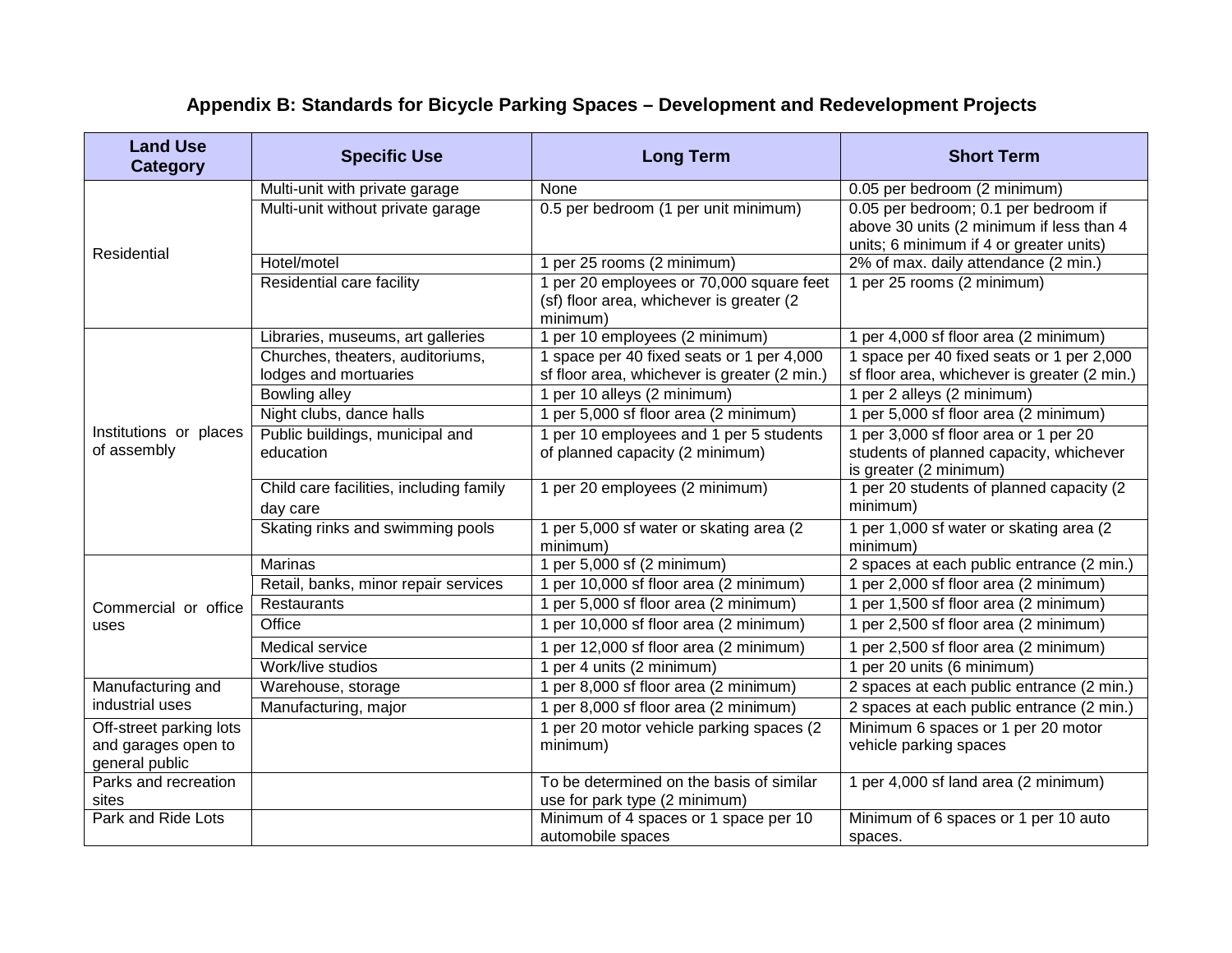# **Appendix B: Standards for Bicycle Parking Spaces – Development and Redevelopment Projects**

| <b>Land Use</b><br><b>Category</b>    | <b>Specific Use</b>                                       | <b>Long Term</b>                                                                                                                                                    | <b>Short Term</b>                                                                                          |  |
|---------------------------------------|-----------------------------------------------------------|---------------------------------------------------------------------------------------------------------------------------------------------------------------------|------------------------------------------------------------------------------------------------------------|--|
| Residential                           | Multi-unit with private garage                            | None                                                                                                                                                                | 0.05 per bedroom (2 minimum)                                                                               |  |
|                                       | Multi-unit without private garage                         | 0.5 per bedroom (1 per unit minimum)<br>0.05 per bedroom; 0.1 per bedroom if<br>above 30 units (2 minimum if less than 4<br>units; 6 minimum if 4 or greater units) |                                                                                                            |  |
|                                       | Hotel/motel                                               | 1 per 25 rooms (2 minimum)                                                                                                                                          | 2% of max. daily attendance (2 min.)                                                                       |  |
|                                       | Residential care facility                                 | 1 per 20 employees or 70,000 square feet<br>(sf) floor area, whichever is greater (2<br>minimum)                                                                    | 1 per 25 rooms (2 minimum)                                                                                 |  |
| Institutions or places<br>of assembly | Libraries, museums, art galleries                         | 1 per 10 employees (2 minimum)                                                                                                                                      | 1 per 4,000 sf floor area (2 minimum)                                                                      |  |
|                                       | Churches, theaters, auditoriums,<br>lodges and mortuaries | 1 space per 40 fixed seats or 1 per 4,000<br>sf floor area, whichever is greater (2 min.)                                                                           | 1 space per 40 fixed seats or 1 per 2,000<br>sf floor area, whichever is greater (2 min.)                  |  |
|                                       | Bowling alley                                             | 1 per 10 alleys (2 minimum)                                                                                                                                         | 1 per 2 alleys (2 minimum)                                                                                 |  |
|                                       | Night clubs, dance halls                                  | 1 per 5,000 sf floor area (2 minimum)                                                                                                                               | 1 per 5,000 sf floor area (2 minimum)                                                                      |  |
|                                       | Public buildings, municipal and<br>education              | 1 per 10 employees and 1 per 5 students<br>of planned capacity (2 minimum)                                                                                          | 1 per 3,000 sf floor area or 1 per 20<br>students of planned capacity, whichever<br>is greater (2 minimum) |  |
|                                       | Child care facilities, including family<br>day care       | 1 per 20 employees (2 minimum)                                                                                                                                      | 1 per 20 students of planned capacity (2<br>minimum)                                                       |  |
|                                       | Skating rinks and swimming pools                          | 1 per 5,000 sf water or skating area (2)<br>minimum)                                                                                                                | 1 per 1,000 sf water or skating area (2<br>minimum)                                                        |  |
| Commercial or office<br>uses          | Marinas                                                   | 1 per 5,000 sf (2 minimum)                                                                                                                                          | 2 spaces at each public entrance (2 min.)                                                                  |  |
|                                       | Retail, banks, minor repair services                      | 1 per 10,000 sf floor area (2 minimum)                                                                                                                              | 1 per 2,000 sf floor area (2 minimum)                                                                      |  |
|                                       | <b>Restaurants</b>                                        | 1 per 5,000 sf floor area (2 minimum)                                                                                                                               | 1 per 1,500 sf floor area (2 minimum)                                                                      |  |
|                                       | Office                                                    | 1 per 10,000 sf floor area (2 minimum)                                                                                                                              | 1 per 2,500 sf floor area (2 minimum)                                                                      |  |
|                                       | Medical service                                           | 1 per 12,000 sf floor area (2 minimum)                                                                                                                              | 1 per 2,500 sf floor area (2 minimum)                                                                      |  |
|                                       | Work/live studios                                         | 1 per 4 units (2 minimum)                                                                                                                                           | 1 per 20 units (6 minimum)                                                                                 |  |
| Manufacturing and                     | Warehouse, storage                                        | 1 per 8,000 sf floor area (2 minimum)                                                                                                                               | 2 spaces at each public entrance (2 min.)                                                                  |  |
| industrial uses                       | Manufacturing, major                                      | 1 per 8,000 sf floor area (2 minimum)                                                                                                                               | 2 spaces at each public entrance (2 min.)                                                                  |  |
| Off-street parking lots               |                                                           | 1 per 20 motor vehicle parking spaces (2                                                                                                                            | Minimum 6 spaces or 1 per 20 motor                                                                         |  |
| and garages open to<br>general public |                                                           | minimum)                                                                                                                                                            | vehicle parking spaces                                                                                     |  |
| Parks and recreation                  |                                                           | To be determined on the basis of similar<br>1 per 4,000 sf land area (2 minimum)                                                                                    |                                                                                                            |  |
| sites                                 |                                                           | use for park type (2 minimum)                                                                                                                                       |                                                                                                            |  |
| Park and Ride Lots                    |                                                           | Minimum of 4 spaces or 1 space per 10<br>automobile spaces                                                                                                          | Minimum of 6 spaces or 1 per 10 auto<br>spaces.                                                            |  |
|                                       |                                                           |                                                                                                                                                                     |                                                                                                            |  |